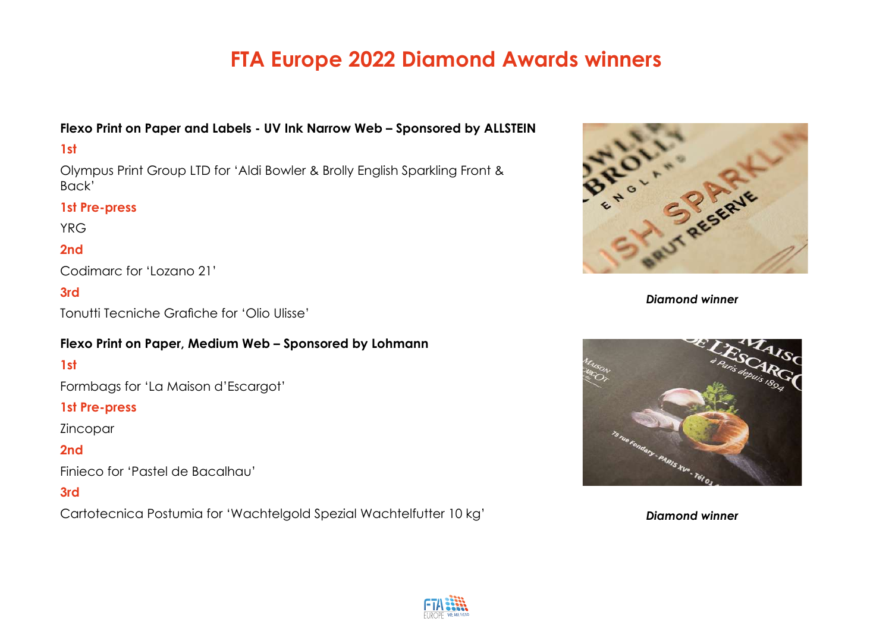## **Flexo Print on Paper and Labels - UV Ink Narrow Web – Sponsored by ALLSTEIN**

#### **1st**

Olympus Print Group LTD for 'Aldi Bowler & Brolly English Sparkling Front & Back'

#### **1st Pre-press**

YRG

## **2nd**

Codimarc for 'Lozano 21'

## **3rd**

Tonutti Tecniche Grafiche for 'Olio Ulisse'

#### **Flexo Print on Paper, Medium Web – Sponsored by Lohmann**

## **1st**

Formbags for 'La Maison d'Escargot'

#### **1st Pre-press**

Zincopar

## **2nd**

Finieco for 'Pastel de Bacalhau'

#### **3rd**

Cartotecnica Postumia for 'Wachtelgold Spezial Wachtelfutter 10 kg'



*Diamond winner*



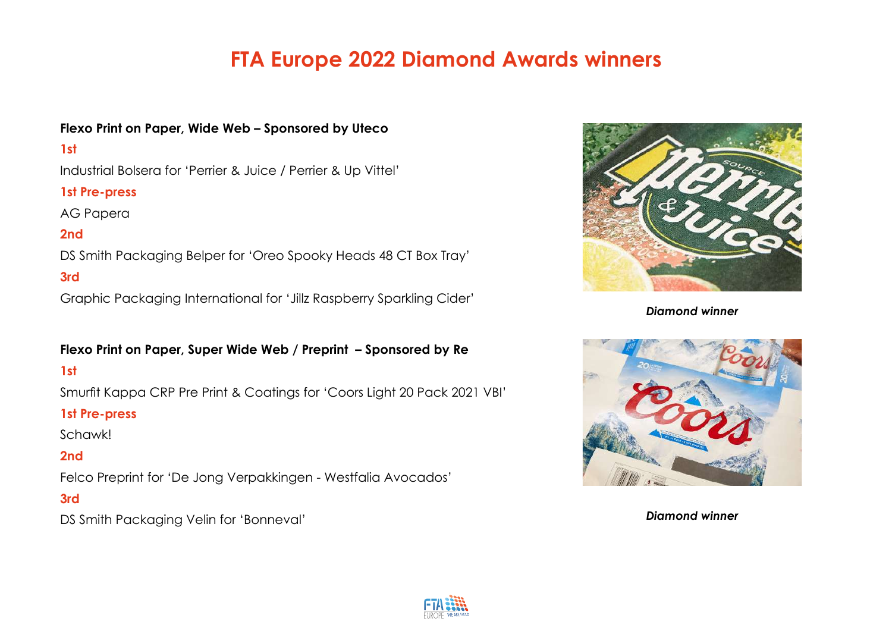## **Flexo Print on Paper, Wide Web – Sponsored by Uteco**

## **1st**

Industrial Bolsera for 'Perrier & Juice / Perrier & Up Vittel'

## **1st Pre-press**

AG Papera

# **2nd**

DS Smith Packaging Belper for 'Oreo Spooky Heads 48 CT Box Tray'

## **3rd**

Graphic Packaging International for 'Jillz Raspberry Sparkling Cider'

#### **Flexo Print on Paper, Super Wide Web / Preprint – Sponsored by Re**

## **1st**

Smurfit Kappa CRP Pre Print & Coatings for 'Coors Light 20 Pack 2021 VBI'

#### **1st Pre-press**

Schawk!

## **2nd**

Felco Preprint for 'De Jong Verpakkingen - Westfalia Avocados'

## **3rd**

DS Smith Packaging Velin for 'Bonneval'



*Diamond winner*



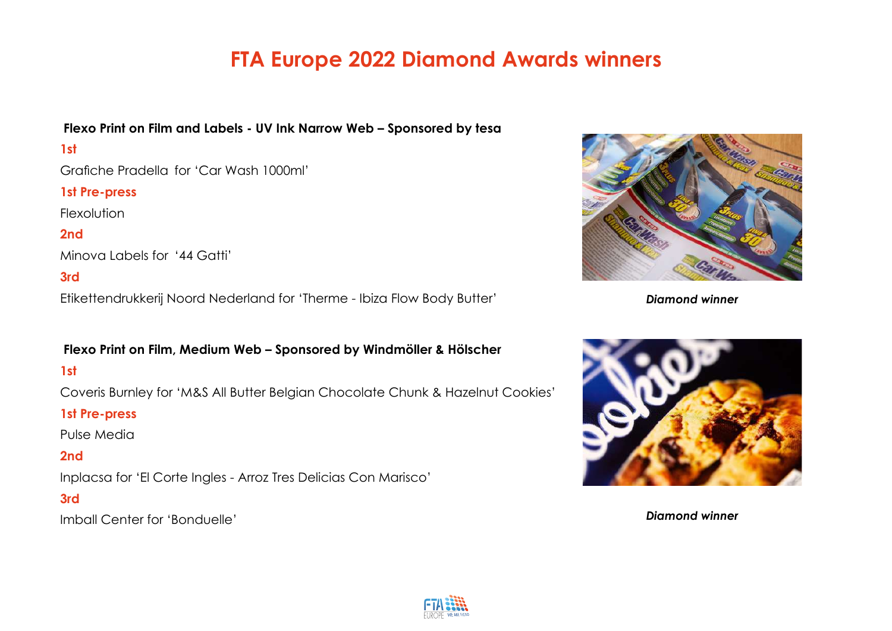## **Flexo Print on Film and Labels - UV Ink Narrow Web – Sponsored by tesa**

## **1st**

Grafiche Pradella for 'Car Wash 1000ml'

## **1st Pre-press**

Flexolution

## **2nd**

Minova Labels for '44 Gatti'

## **3rd**

Etikettendrukkerij Noord Nederland for 'Therme - Ibiza Flow Body Butter'

#### **Flexo Print on Film, Medium Web – Sponsored by Windmöller & Hölscher**

## **1st**

Coveris Burnley for 'M&S All Butter Belgian Chocolate Chunk & Hazelnut Cookies'

#### **1st Pre-press**

Pulse Media

# **2nd**

Inplacsa for 'El Corte Ingles - Arroz Tres Delicias Con Marisco'

## **3rd**

Imball Center for 'Bonduelle'



*Diamond winner*



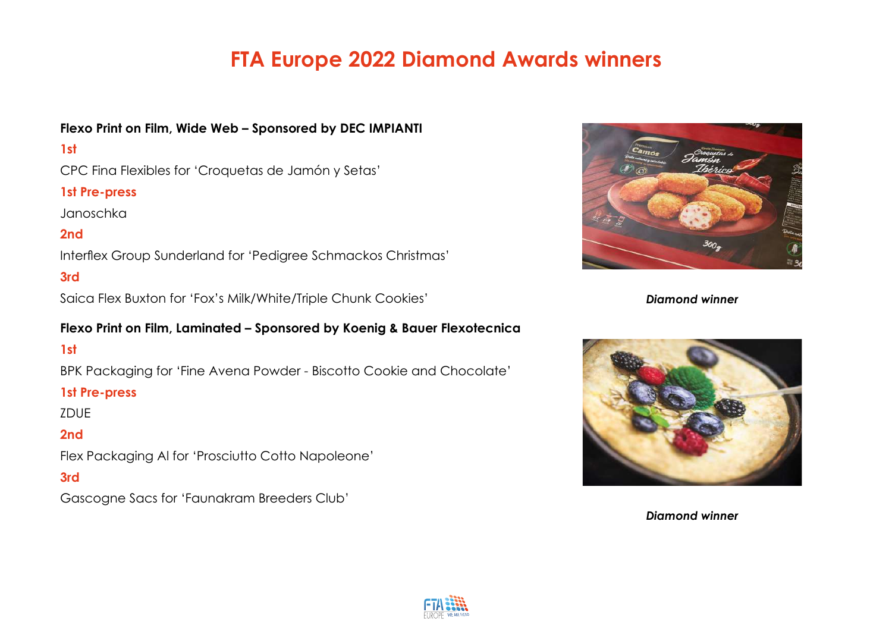## **Flexo Print on Film, Wide Web – Sponsored by DEC IMPIANTI**

## **1st**

CPC Fina Flexibles for 'Croquetas de Jamón y Setas'

## **1st Pre-press**

Janoschka

## **2nd**

Interflex Group Sunderland for 'Pedigree Schmackos Christmas'

## **3rd**

Saica Flex Buxton for 'Fox's Milk/White/Triple Chunk Cookies'

#### **Flexo Print on Film, Laminated – Sponsored by Koenig & Bauer Flexotecnica**

**1st** 

BPK Packaging for 'Fine Avena Powder - Biscotto Cookie and Chocolate'

#### **1st Pre-press**

ZDUE

## **2nd**

Flex Packaging Al for 'Prosciutto Cotto Napoleone'

**3rd**

Gascogne Sacs for 'Faunakram Breeders Club'



*Diamond winner*



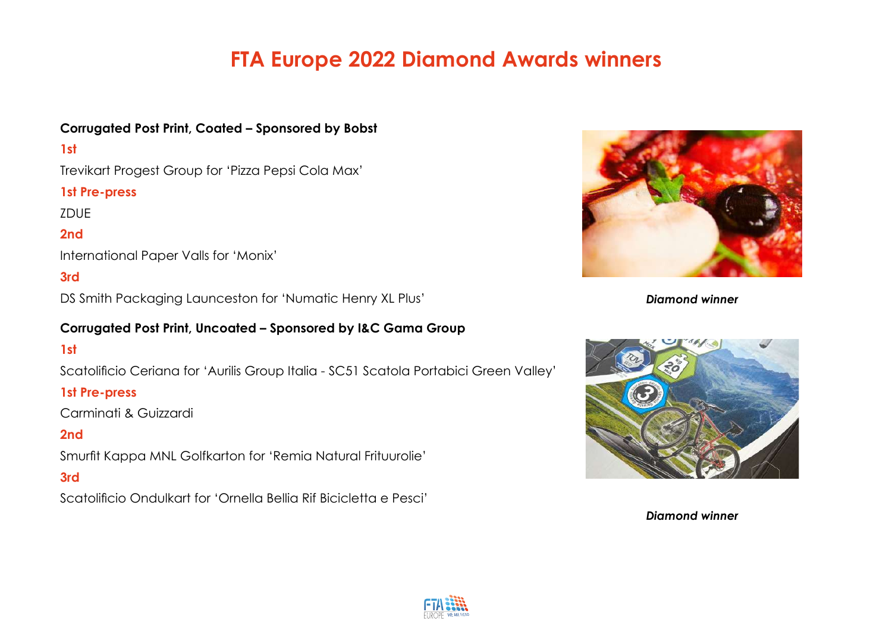## **Corrugated Post Print, Coated – Sponsored by Bobst**

## **1st**

Trevikart Progest Group for 'Pizza Pepsi Cola Max'

## **1st Pre-press**

ZDUE

# **2nd**

International Paper Valls for 'Monix'

## **3rd**

DS Smith Packaging Launceston for 'Numatic Henry XL Plus'

## **Corrugated Post Print, Uncoated – Sponsored by I&C Gama Group**

# **1st**

Scatolificio Ceriana for 'Aurilis Group Italia - SC51 Scatola Portabici Green Valley'

#### **1st Pre-press**

Carminati & Guizzardi

# **2nd**

Smurfit Kappa MNL Golfkarton for 'Remia Natural Frituurolie'

#### **3rd**

Scatolificio Ondulkart for 'Ornella Bellia Rif Bicicletta e Pesci'



*Diamond winner*



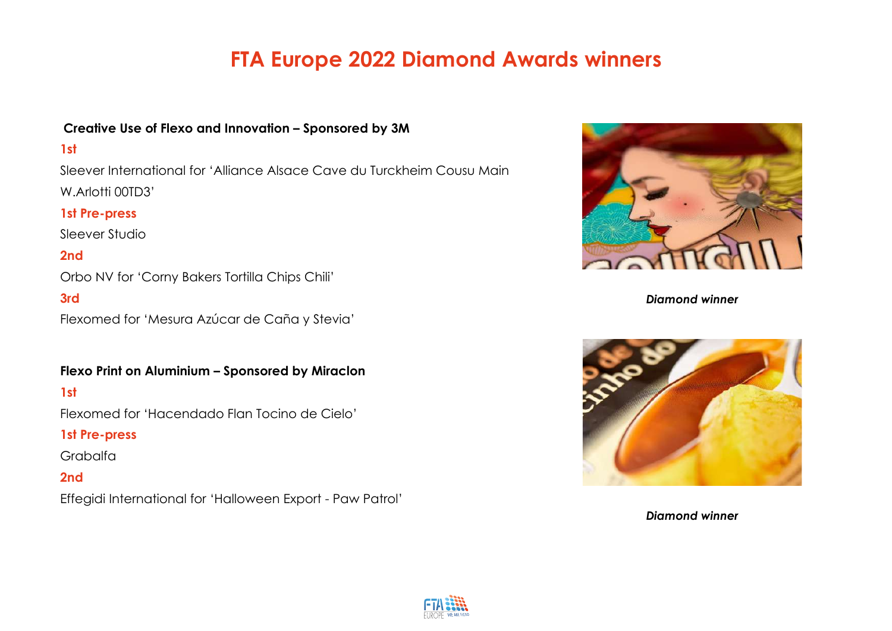#### **Creative Use of Flexo and Innovation – Sponsored by 3M**

#### **1st**

Sleever International for 'Alliance Alsace Cave du Turckheim Cousu Main W.Arlotti 00TD3'

#### **1st Pre-press**

Sleever Studio

## **2nd**

Orbo NV for 'Corny Bakers Tortilla Chips Chili'

#### **3rd**

Flexomed for 'Mesura Azúcar de Caña y Stevia'

#### **Flexo Print on Aluminium – Sponsored by Miraclon**

#### **1st**

Flexomed for 'Hacendado Flan Tocino de Cielo'

#### **1st Pre-press**

Grabalfa

## **2nd**

Effegidi International for 'Halloween Export - Paw Patrol'



*Diamond winner*